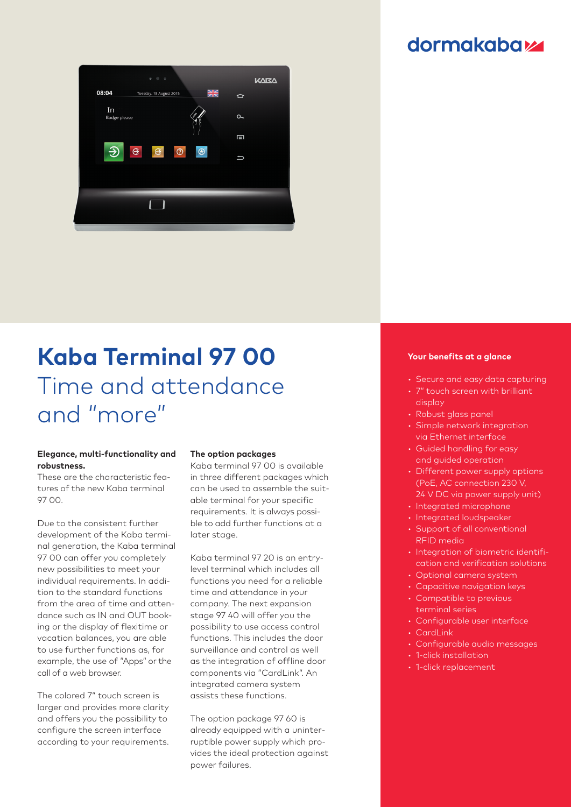### **dormakabazz**



# **Kaba Terminal 97 00** Time and attendance and "more"

#### **Elegance, multi-functionality and robustness.**

These are the characteristic features of the new Kaba terminal 97 00.

Due to the consistent further development of the Kaba terminal generation, the Kaba terminal 97 00 can offer you completely new possibilities to meet your individual requirements. In addition to the standard functions from the area of time and attendance such as IN and OUT booking or the display of flexitime or vacation balances, you are able to use further functions as, for example, the use of "Apps" or the call of a web browser.

The colored 7" touch screen is larger and provides more clarity and offers you the possibility to configure the screen interface according to your requirements.

#### **The option packages**

Kaba terminal 97 00 is available in three different packages which can be used to assemble the suitable terminal for your specific requirements. It is always possible to add further functions at a later stage.

Kaba terminal 97 20 is an entrylevel terminal which includes all functions you need for a reliable time and attendance in your company. The next expansion stage 97 40 will offer you the possibility to use access control functions. This includes the door surveillance and control as well as the integration of offline door components via "CardLink". An integrated camera system assists these functions.

The option package 97 60 is already equipped with a uninterruptible power supply which provides the ideal protection against power failures.

#### **Your benefits at a glance**

- Secure and easy data capturing
- 7" touch screen with brilliant display
- Robust glass panel
- Simple network integration via Ethernet interface
- Guided handling for easy and guided operation
- Different power supply options (PoE, AC connection 230 V, 24 V DC via power supply unit)
- Integrated microphone
- Integrated loudspeaker
- Support of all conventional RFID media
- Integration of biometric identification and verification solutions
- Optional camera system
- Capacitive navigation keys
- Compatible to previous terminal series
- Configurable user interface
- CardLink
- Configurable audio messages
- 1-click installation
- 1-click replacement